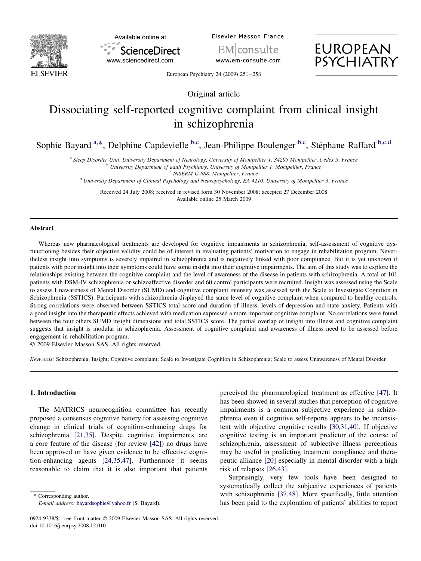



Elsevier Masson France

EM consulte www.em-consulte.com



European Psychiatry 24 (2009)  $251-258$ 

Original article

# Dissociating self-reported cognitive complaint from clinical insight in schizophrenia

Sophie Bayard <sup>a,\*</sup>, Delphine Capdevielle <sup>b,c</sup>, Jean-Philippe Boulenger <sup>b,c</sup>, Stéphane Raffard <sup>b,c,d</sup>

<sup>a</sup> Sleep Disorder Unit, University Department of Neurology, University of Montpellier 1, 34295 Montpellier, Cedex 5, France<br><sup>b</sup> University Department of adult Psychiatry, University of Montpellier 1, Montpellier, France<br><sup></sup>

Received 24 July 2008; received in revised form 30 November 2008; accepted 27 December 2008 Available online 25 March 2009

#### Abstract

Whereas new pharmacological treatments are developed for cognitive impairments in schizophrenia, self-assessment of cognitive dysfunctioning besides their objective validity could be of interest in evaluating patients' motivation to engage in rehabilitation program. Nevertheless insight into symptoms is severely impaired in schizophrenia and is negatively linked with poor compliance. But it is yet unknown if patients with poor insight into their symptoms could have some insight into their cognitive impairments. The aim of this study was to explore the relationships existing between the cognitive complaint and the level of awareness of the disease in patients with schizophrenia. A total of 101 patients with DSM-IV schizophrenia or schizoaffective disorder and 60 control participants were recruited. Insight was assessed using the Scale to assess Unawareness of Mental Disorder (SUMD) and cognitive complaint intensity was assessed with the Scale to Investigate Cognition in Schizophrenia (SSTICS). Participants with schizophrenia displayed the same level of cognitive complaint when compared to healthy controls. Strong correlations were observed between SSTICS total score and duration of illness, levels of depression and state anxiety. Patients with a good insight into the therapeutic effects achieved with medication expressed a more important cognitive complaint. No correlations were found between the four others SUMD insight dimensions and total SSTICS score. The partial overlap of insight into illness and cognitive complaint suggests that insight is modular in schizophrenia. Assessment of cognitive complaint and awareness of illness need to be assessed before engagement in rehabilitation program.

- 2009 Elsevier Masson SAS. All rights reserved.

Keywords: Schizophrenia; Insight; Cognitive complaint; Scale to Investigate Cognition in Schizophrenia; Scale to assess Unawareness of Mental Disorder

### 1. Introduction

The MATRICS neurocognition committee has recently proposed a consensus cognitive battery for assessing cognitive change in clinical trials of cognition-enhancing drugs for schizophrenia [\[21,35\]](#page-6-0). Despite cognitive impairments are a core feature of the disease (for review [\[42\]\)](#page-6-0) no drugs have been approved or have given evidence to be effective cognition-enhancing agents [\[24,35,47\]](#page-6-0). Furthermore it seems reasonable to claim that it is also important that patients

\* Corresponding author.

perceived the pharmacological treatment as effective [\[47\]](#page-7-0). It has been showed in several studies that perception of cognitive impairments is a common subjective experience in schizophrenia even if cognitive self-reports appears to be inconsistent with objective cognitive results [\[30,31,40\].](#page-6-0) If objective cognitive testing is an important predictor of the course of schizophrenia, assessment of subjective illness perceptions may be useful in predicting treatment compliance and therapeutic alliance [\[20\]](#page-6-0) especially in mental disorder with a high risk of relapses [\[26,43\]](#page-6-0).

Surprisingly, very few tools have been designed to systematically collect the subjective experiences of patients with schizophrenia [\[37,48\].](#page-6-0) More specifically, little attention has been paid to the exploration of patients' abilities to report

E-mail address: [bayardsophie@yahoo.fr](mailto:bayardsophie@yahoo.fr) (S. Bayard).

<sup>0924-9338/\$ -</sup> see front matter © 2009 Elsevier Masson SAS. All rights reserved. doi:10.1016/j.eurpsy.2008.12.010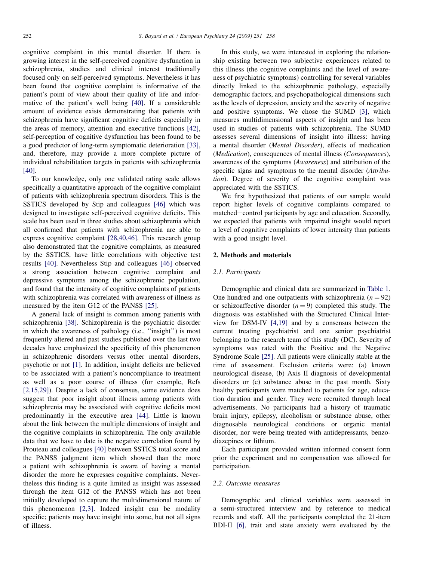cognitive complaint in this mental disorder. If there is growing interest in the self-perceived cognitive dysfunction in schizophrenia, studies and clinical interest traditionally focused only on self-perceived symptoms. Nevertheless it has been found that cognitive complaint is informative of the patient's point of view about their quality of life and informative of the patient's well being [\[40\]](#page-6-0). If a considerable amount of evidence exists demonstrating that patients with schizophrenia have significant cognitive deficits especially in the areas of memory, attention and executive functions [\[42\]](#page-6-0), self-perception of cognitive dysfunction has been found to be a good predictor of long-term symptomatic deterioration [\[33\]](#page-6-0), and, therefore, may provide a more complete picture of individual rehabilitation targets in patients with schizophrenia [\[40\]](#page-6-0).

To our knowledge, only one validated rating scale allows specifically a quantitative approach of the cognitive complaint of patients with schizophrenia spectrum disorders. This is the SSTICS developed by Stip and colleagues [\[46\]](#page-6-0) which was designed to investigate self-perceived cognitive deficits. This scale has been used in three studies about schizophrenia which all confirmed that patients with schizophrenia are able to express cognitive complaint [\[28,40,46\]](#page-6-0). This research group also demonstrated that the cognitive complaints, as measured by the SSTICS, have little correlations with objective test results [\[40\].](#page-6-0) Nevertheless Stip and colleagues [\[46\]](#page-6-0) observed a strong association between cognitive complaint and depressive symptoms among the schizophrenic population, and found that the intensity of cognitive complaints of patients with schizophrenia was correlated with awareness of illness as measured by the item G12 of the PANSS [\[25\]](#page-6-0).

A general lack of insight is common among patients with schizophrenia [\[38\].](#page-6-0) Schizophrenia is the psychiatric disorder in which the awareness of pathology (i.e., ''insight'') is most frequently altered and past studies published over the last two decades have emphasized the specificity of this phenomenon in schizophrenic disorders versus other mental disorders, psychotic or not [\[1\]](#page-6-0). In addition, insight deficits are believed to be associated with a patient's noncompliance to treatment as well as a poor course of illness (for example, Refs [\[2,15,29\]](#page-6-0)). Despite a lack of consensus, some evidence does suggest that poor insight about illness among patients with schizophrenia may be associated with cognitive deficits most predominantly in the executive area [\[44\].](#page-6-0) Little is known about the link between the multiple dimensions of insight and the cognitive complaints in schizophrenia. The only available data that we have to date is the negative correlation found by Prouteau and colleagues [\[40\]](#page-6-0) between SSTICS total score and the PANSS judgment item which showed than the more a patient with schizophrenia is aware of having a mental disorder the more he expresses cognitive complaints. Nevertheless this finding is a quite limited as insight was assessed through the item G12 of the PANSS which has not been initially developed to capture the multidimensional nature of this phenomenon [\[2,3\]](#page-6-0). Indeed insight can be modality specific; patients may have insight into some, but not all signs of illness.

In this study, we were interested in exploring the relationship existing between two subjective experiences related to this illness (the cognitive complaints and the level of awareness of psychiatric symptoms) controlling for several variables directly linked to the schizophrenic pathology, especially demographic factors, and psychopathological dimensions such as the levels of depression, anxiety and the severity of negative and positive symptoms. We chose the SUMD [\[3\]](#page-6-0), which measures multidimensional aspects of insight and has been used in studies of patients with schizophrenia. The SUMD assesses several dimensions of insight into illness: having a mental disorder (Mental Disorder), effects of medication (Medication), consequences of mental illness (Consequences), awareness of the symptoms (Awareness) and attribution of the specific signs and symptoms to the mental disorder (Attribution). Degree of severity of the cognitive complaint was appreciated with the SSTICS.

We first hypothesized that patients of our sample would report higher levels of cognitive complaints compared to matched—control participants by age and education. Secondly, we expected that patients with impaired insight would report a level of cognitive complaints of lower intensity than patients with a good insight level.

## 2. Methods and materials

#### 2.1. Participants

Demographic and clinical data are summarized in [Table 1](#page-2-0). One hundred and one outpatients with schizophrenia ( $n = 92$ ) or schizoaffective disorder  $(n = 9)$  completed this study. The diagnosis was established with the Structured Clinical Interview for DSM-IV [\[4,19\]](#page-6-0) and by a consensus between the current treating psychiatrist and one senior psychiatrist belonging to the research team of this study (DC). Severity of symptoms was rated with the Positive and the Negative Syndrome Scale [\[25\].](#page-6-0) All patients were clinically stable at the time of assessment. Exclusion criteria were: (a) known neurological disease, (b) Axis II diagnosis of developmental disorders or (c) substance abuse in the past month. Sixty healthy participants were matched to patients for age, education duration and gender. They were recruited through local advertisements. No participants had a history of traumatic brain injury, epilepsy, alcoholism or substance abuse, other diagnosable neurological conditions or organic mental disorder, nor were being treated with antidepressants, benzodiazepines or lithium.

Each participant provided written informed consent form prior the experiment and no compensation was allowed for participation.

#### 2.2. Outcome measures

Demographic and clinical variables were assessed in a semi-structured interview and by reference to medical records and staff. All the participants completed the 21-item BDI-II [\[6\]](#page-6-0), trait and state anxiety were evaluated by the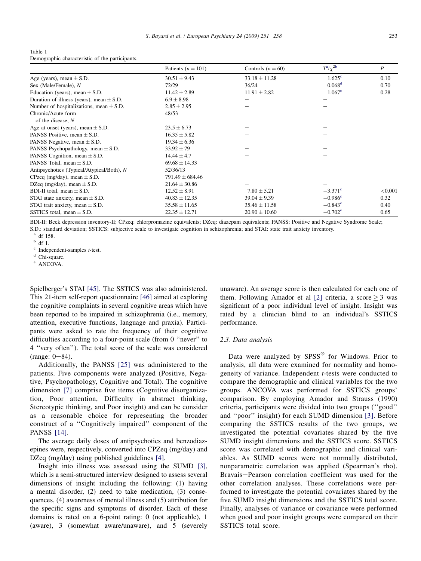<span id="page-2-0"></span>

| Table 1                                         |  |
|-------------------------------------------------|--|
| Demographic characteristic of the participants. |  |

|                                              | Patients $(n = 101)$ | Controls $(n = 60)$ | $T^{\rm a}/\chi^{2\rm b}$ | $\boldsymbol{P}$ |
|----------------------------------------------|----------------------|---------------------|---------------------------|------------------|
| Age (years), mean $\pm$ S.D.                 | $30.51 \pm 9.43$     | $33.18 \pm 11.28$   | $1.625$ <sup>c</sup>      | 0.10             |
| Sex (Male/Female), N                         | 72/29                | 36/24               | 0.068 <sup>d</sup>        | 0.70             |
| Education (years), mean $\pm$ S.D.           | $11.42 \pm 2.89$     | $11.91 \pm 2.82$    | 1.067 <sup>c</sup>        | 0.28             |
| Duration of illness (years), mean $\pm$ S.D. | $6.9 \pm 8.98$       |                     |                           |                  |
| Number of hospitalizations, mean $\pm$ S.D.  | $2.85 \pm 2.95$      |                     |                           |                  |
| Chronic/Acute form                           | 48/53                |                     |                           |                  |
| of the disease, $N$                          |                      |                     |                           |                  |
| Age at onset (years), mean $\pm$ S.D.        | $23.5 \pm 6.73$      |                     |                           |                  |
| PANSS Positive, mean $\pm$ S.D.              | $16.35 \pm 5.82$     |                     |                           |                  |
| PANSS Negative, mean $\pm$ S.D.              | $19.34 \pm 6.36$     |                     |                           |                  |
| PANSS Psychopathology, mean $\pm$ S.D.       | $33.92 \pm 79$       |                     |                           |                  |
| PANSS Cognition, mean $\pm$ S.D.             | $14.44 \pm 4.7$      |                     |                           |                  |
| PANSS Total, mean $\pm$ S.D.                 | $69.68 \pm 14.33$    |                     |                           |                  |
| Antipsychotics (Typical/Atypical/Both), N    | 52/36/13             |                     |                           |                  |
| CPzeq (mg/day), mean $\pm$ S.D.              | $791.49 \pm 684.46$  |                     |                           |                  |
| DZeq (mg/day), mean $\pm$ S.D.               | $21.64 \pm 30.86$    |                     |                           |                  |
| BDI-II total, mean $\pm$ S.D.                | $12.52 \pm 8.91$     | $7.80 \pm 5.21$     | $-3.371^{\circ}$          | < 0.001          |
| STAI state anxiety, mean $\pm$ S.D.          | $40.83 \pm 12.35$    | $39.04 \pm 9.39$    | $-0.986^{\circ}$          | 0.32             |
| STAI trait anxiety, mean $\pm$ S.D.          | $35.58 \pm 11.65$    | $35.46 \pm 11.58$   | $-0.843^{\circ}$          | 0.40             |
| SSTICS total, mean $\pm$ S.D.                | $22.35 \pm 12.71$    | $20.90 \pm 10.60$   | $-0.702^{\rm e}$          | 0.65             |

BDI-II: Beck depression inventory-II; CPzeq: chlorpromazine equivalents; DZeq: diazepam equivalents; PANSS: Positive and Negative Syndrome Scale; S.D.: standard deviation; SSTICS: subjective scale to investigate cognition in schizophrenia; and STAI: state trait anxiety inventory.

<sup>a</sup> df 158.<br><sup>b</sup> df 1.<br><sup>c</sup> Independent-samples *t*-test.<br><sup>d</sup> Chi-square.<br><sup>e</sup> ANCOVA.

Spielberger's STAI [\[45\].](#page-6-0) The SSTICS was also administered. This 21-item self-report questionnaire [\[46\]](#page-6-0) aimed at exploring the cognitive complaints in several cognitive areas which have been reported to be impaired in schizophrenia (i.e., memory, attention, executive functions, language and praxia). Participants were asked to rate the frequency of their cognitive difficulties according to a four-point scale (from 0 ''never'' to 4 ''very often''). The total score of the scale was considered  $(range: 0-84)$ .

Additionally, the PANSS [\[25\]](#page-6-0) was administered to the patients. Five components were analyzed (Positive, Negative, Psychopathology, Cognitive and Total). The cognitive dimension [\[7\]](#page-6-0) comprise five items (Cognitive disorganization, Poor attention, Difficulty in abstract thinking, Stereotypic thinking, and Poor insight) and can be consider as a reasonable choice for representing the broader construct of a ''Cognitively impaired'' component of the PANSS [\[14\].](#page-6-0)

The average daily doses of antipsychotics and benzodiazepines were, respectively, converted into CPZeq (mg/day) and DZeq (mg/day) using published guidelines [\[4\].](#page-6-0)

Insight into illness was assessed using the SUMD [\[3\]](#page-6-0), which is a semi-structured interview designed to assess several dimensions of insight including the following: (1) having a mental disorder, (2) need to take medication, (3) consequences, (4) awareness of mental illness and (5) attribution for the specific signs and symptoms of disorder. Each of these domains is rated on a 6-point rating: 0 (not applicable), 1 (aware), 3 (somewhat aware/unaware), and 5 (severely unaware). An average score is then calculated for each one of them. Following Amador et al [\[2\]](#page-6-0) criteria, a score  $\geq$  3 was significant of a poor individual level of insight. Insight was rated by a clinician blind to an individual's SSTICS performance.

## 2.3. Data analysis

Data were analyzed by  $SPSS^{\circledast}$  for Windows. Prior to analysis, all data were examined for normality and homogeneity of variance. Independent t-tests were conducted to compare the demographic and clinical variables for the two groups. ANCOVA was performed for SSTICS groups' comparison. By employing Amador and Strauss (1990) criteria, participants were divided into two groups (''good'' and ''poor'' insight) for each SUMD dimension [\[3\].](#page-6-0) Before comparing the SSTICS results of the two groups, we investigated the potential covariates shared by the five SUMD insight dimensions and the SSTICS score. SSTICS score was correlated with demographic and clinical variables. As SUMD scores were not normally distributed, nonparametric correlation was applied (Spearman's rho). Bravais-Pearson correlation coefficient was used for the other correlation analyses. These correlations were performed to investigate the potential covariates shared by the five SUMD insight dimensions and the SSTICS total score. Finally, analyses of variance or covariance were performed when good and poor insight groups were compared on their SSTICS total score.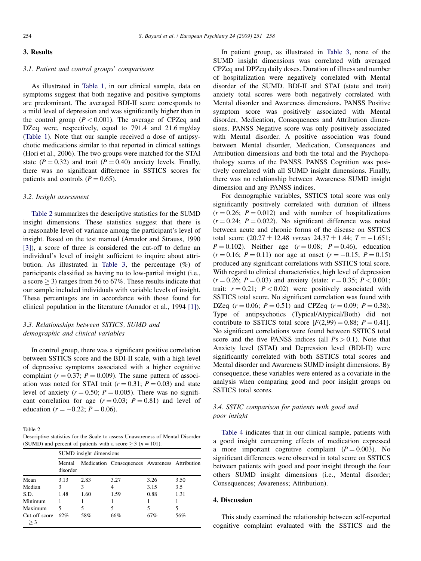# 3. Results

## 3.1. Patient and control groups' comparisons

As illustrated in [Table 1,](#page-2-0) in our clinical sample, data on symptoms suggest that both negative and positive symptoms are predominant. The averaged BDI-II score corresponds to a mild level of depression and was significantly higher than in the control group  $(P < 0.001)$ . The average of CPZeq and DZeq were, respectively, equal to 791.4 and 21.6 mg/day [\(Table 1](#page-2-0)). Note that our sample received a dose of antipsychotic medications similar to that reported in clinical settings (Hori et al., 2006). The two groups were matched for the STAI state ( $P = 0.32$ ) and trait ( $P = 0.40$ ) anxiety levels. Finally, there was no significant difference in SSTICS scores for patients and controls ( $P = 0.65$ ).

#### 3.2. Insight assessment

Table 2 summarizes the descriptive statistics for the SUMD insight dimensions. These statistics suggest that there is a reasonable level of variance among the participant's level of insight. Based on the test manual (Amador and Strauss, 1990 [\[3\]](#page-6-0)), a score of three is considered the cut-off to define an individual's level of insight sufficient to inquire about attribution. As illustrated in [Table 3,](#page-4-0) the percentage (%) of participants classified as having no to low-partial insight (i.e., a score  $\geq$  3) ranges from 56 to 67%. These results indicate that our sample included individuals with variable levels of insight. These percentages are in accordance with those found for clinical population in the literature (Amador et al., 1994 [\[1\]\)](#page-6-0).

# 3.3. Relationships between SSTICS, SUMD and demographic and clinical variables

In control group, there was a significant positive correlation between SSTICS score and the BDI-II scale, with a high level of depressive symptoms associated with a higher cognitive complaint ( $r = 0.37$ ;  $P = 0.009$ ). The same pattern of association was noted for STAI trait ( $r = 0.31$ ;  $P = 0.03$ ) and state level of anxiety ( $r = 0.50$ ;  $P = 0.005$ ). There was no significant correlation for age  $(r = 0.03; P = 0.81)$  and level of education ( $r = -0.22$ ;  $P = 0.06$ ).

Table 2

Descriptive statistics for the Scale to assess Unawareness of Mental Disorder (SUMD) and percent of patients with a score  $\geq 3$  ( $n = 101$ ).

|                        | SUMD insight dimensions |      |                                               |      |      |
|------------------------|-------------------------|------|-----------------------------------------------|------|------|
|                        | Mental<br>disorder      |      | Medication Consequences Awareness Attribution |      |      |
| Mean                   | 3.13                    | 2.83 | 3.27                                          | 3.26 | 3.50 |
| Median                 | 3                       | 3    | 4                                             | 3.15 | 3.5  |
| S.D.                   | 1.48                    | 1.60 | 1.59                                          | 0.88 | 1.31 |
| Minimum                |                         |      |                                               |      |      |
| Maximum                | 5                       | 5    | 5                                             | 5    | 5    |
| Cut-off score<br>$>$ 3 | 62%                     | 58%  | 66%                                           | 67%  | 56%  |

In patient group, as illustrated in [Table 3,](#page-4-0) none of the SUMD insight dimensions was correlated with averaged CPZeq and DPZeq daily doses. Duration of illness and number of hospitalization were negatively correlated with Mental disorder of the SUMD. BDI-II and STAI (state and trait) anxiety total scores were both negatively correlated with Mental disorder and Awareness dimensions. PANSS Positive symptom score was positively associated with Mental disorder, Medication, Consequences and Attribution dimensions. PANSS Negative score was only positively associated with Mental disorder. A positive association was found between Mental disorder, Medication, Consequences and Attribution dimensions and both the total and the Psychopathology scores of the PANSS. PANSS Cognition was positively correlated with all SUMD insight dimensions. Finally, there was no relationship between Awareness SUMD insight dimension and any PANSS indices.

For demographic variables, SSTICS total score was only significantly positively correlated with duration of illness  $(r = 0.26; P = 0.012)$  and with number of hospitalizations  $(r = 0.24; P = 0.022)$ . No significant difference was noted between acute and chronic forms of the disease on SSTICS total score  $(20.27 \pm 12.48 \text{ versus } 24.37 \pm 1.44; T = -1.651;$  $P = 0.102$ ). Neither age  $(r = 0.08; P = 0.46)$ , education  $(r = 0.16; P = 0.11)$  nor age at onset  $(r = -0.15; P = 0.15)$ produced any significant correlations with SSTICS total score. With regard to clinical characteristics, high level of depression  $(r = 0.26; P = 0.03)$  and anxiety (state:  $r = 0.35; P < 0.001;$ trait:  $r = 0.21$ ;  $P < 0.02$ ) were positively associated with SSTICS total score. No significant correlation was found with DZeq  $(r = 0.06; P = 0.51)$  and CPZeq  $(r = 0.09; P = 0.38)$ . Type of antipsychotics (Typical/Atypical/Both) did not contribute to SSTICS total score  $[F(2,99) = 0.88; P = 0.41]$ . No significant correlations were found between SSTICS total score and the five PANSS indices (all  $Ps > 0.1$ ). Note that Anxiety level (STAI) and Depression level (BDI-II) were significantly correlated with both SSTICS total scores and Mental disorder and Awareness SUMD insight dimensions. By consequence, these variables were entered as a covariate in the analysis when comparing good and poor insight groups on SSTICS total scores.

# 3.4. SSTIC comparison for patients with good and poor insight

[Table 4](#page-5-0) indicates that in our clinical sample, patients with a good insight concerning effects of medication expressed a more important cognitive complaint  $(P = 0.003)$ . No significant differences were observed in total score on SSTICS between patients with good and poor insight through the four others SUMD insight dimensions (i.e., Mental disorder; Consequences; Awareness; Attribution).

#### 4. Discussion

This study examined the relationship between self-reported cognitive complaint evaluated with the SSTICS and the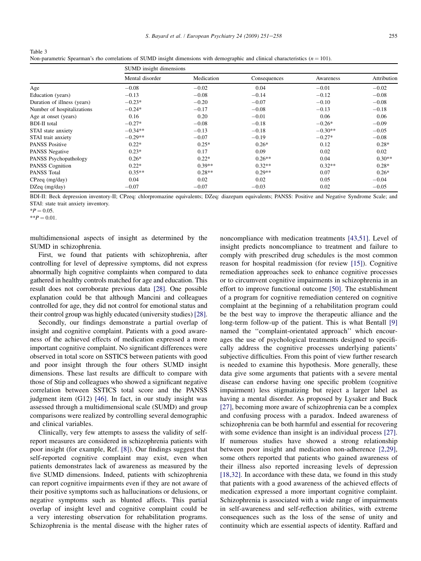|                             | SUMD insight dimensions |            |              |           |             |  |
|-----------------------------|-------------------------|------------|--------------|-----------|-------------|--|
|                             | Mental disorder         | Medication | Consequences | Awareness | Attribution |  |
| Age                         | $-0.08$                 | $-0.02$    | 0.04         | $-0.01$   | $-0.02$     |  |
| Education (years)           | $-0.13$                 | $-0.08$    | $-0.14$      | $-0.12$   | $-0.08$     |  |
| Duration of illness (years) | $-0.23*$                | $-0.20$    | $-0.07$      | $-0.10$   | $-0.08$     |  |
| Number of hospitalizations  | $-0.24*$                | $-0.17$    | $-0.08$      | $-0.13$   | $-0.18$     |  |
| Age at onset (years)        | 0.16                    | 0.20       | $-0.01$      | 0.06      | 0.06        |  |
| <b>BDI-II</b> total         | $-0.27*$                | $-0.08$    | $-0.18$      | $-0.26*$  | $-0.09$     |  |
| STAI state anxiety          | $-0.34**$               | $-0.13$    | $-0.18$      | $-0.30**$ | $-0.05$     |  |
| STAI trait anxiety          | $-0.29**$               | $-0.07$    | $-0.19$      | $-0.27*$  | $-0.08$     |  |
| <b>PANSS Positive</b>       | $0.22*$                 | $0.25*$    | $0.26*$      | 0.12      | $0.28*$     |  |
| PANSS Negative              | $0.23*$                 | 0.17       | 0.09         | 0.02      | 0.02        |  |
| PANSS Psychopathology       | $0.26*$                 | $0.22*$    | $0.26**$     | 0.04      | $0.30**$    |  |
| PANSS Cognition             | $0.22*$                 | $0.39**$   | $0.32**$     | $0.32**$  | $0.28*$     |  |
| PANSS Total                 | $0.35**$                | $0.28**$   | $0.29**$     | 0.07      | $0.26*$     |  |
| $CP$ zeq $(mg/day)$         | 0.04                    | 0.02       | 0.02         | 0.05      | $-0.04$     |  |
| $DZeq$ (mg/day)             | $-0.07$                 | $-0.07$    | $-0.03$      | 0.02      | $-0.05$     |  |

Non-parametric Spearman's rho correlations of SUMD insight dimensions with demographic and clinical characteristics  $(n = 101)$ .

BDI-II: Beck depression inventory-II; CPzeq: chlorpromazine equivalents; DZeq: diazepam equivalents; PANSS: Positive and Negative Syndrome Scale; and STAI: state trait anxiety inventory.

 $*P = 0.05$ .

<span id="page-4-0"></span>Table 3

 $*$  $P = 0.01$ .

multidimensional aspects of insight as determined by the SUMD in schizophrenia.

First, we found that patients with schizophrenia, after controlling for level of depressive symptoms, did not express abnormally high cognitive complaints when compared to data gathered in healthy controls matched for age and education. This result does not corroborate previous data [\[28\].](#page-6-0) One possible explanation could be that although Mancini and colleagues controlled for age, they did not control for emotional status and their control group was highly educated (university studies) [\[28\]](#page-6-0).

Secondly, our findings demonstrate a partial overlap of insight and cognitive complaint. Patients with a good awareness of the achieved effects of medication expressed a more important cognitive complaint. No significant differences were observed in total score on SSTICS between patients with good and poor insight through the four others SUMD insight dimensions. These last results are difficult to compare with those of Stip and colleagues who showed a significant negative correlation between SSTICS total score and the PANSS judgment item (G12) [\[46\]](#page-6-0). In fact, in our study insight was assessed through a multidimensional scale (SUMD) and group comparisons were realized by controlling several demographic and clinical variables.

Clinically, very few attempts to assess the validity of selfreport measures are considered in schizophrenia patients with poor insight (for example, Ref. [\[8\]](#page-6-0)). Our findings suggest that self-reported cognitive complaint may exist, even when patients demonstrates lack of awareness as measured by the five SUMD dimensions. Indeed, patients with schizophrenia can report cognitive impairments even if they are not aware of their positive symptoms such as hallucinations or delusions, or negative symptoms such as blunted affects. This partial overlap of insight level and cognitive complaint could be a very interesting observation for rehabilitation programs. Schizophrenia is the mental disease with the higher rates of noncompliance with medication treatments [\[43,51\]](#page-6-0). Level of insight predicts noncompliance to treatment and failure to comply with prescribed drug schedules is the most common reason for hospital readmission (for review [\[15\]](#page-6-0)). Cognitive remediation approaches seek to enhance cognitive processes or to circumvent cognitive impairments in schizophrenia in an effort to improve functional outcome [\[50\].](#page-7-0) The establishment of a program for cognitive remediation centered on cognitive complaint at the beginning of a rehabilitation program could be the best way to improve the therapeutic alliance and the long-term follow-up of the patient. This is what Bentall [\[9\]](#page-6-0) named the ''complaint-orientated approach'' which encourages the use of psychological treatments designed to specifically address the cognitive processes underlying patients' subjective difficulties. From this point of view further research is needed to examine this hypothesis. More generally, these data give some arguments that patients with a severe mental disease can endorse having one specific problem (cognitive impairment) less stigmatizing but reject a larger label as having a mental disorder. As proposed by Lysaker and Buck [\[27\]](#page-6-0), becoming more aware of schizophrenia can be a complex and confusing process with a paradox. Indeed awareness of schizophrenia can be both harmful and essential for recovering with some evidence than insight is an individual process [\[27\]](#page-6-0). If numerous studies have showed a strong relationship between poor insight and medication non-adherence [\[2,29\]](#page-6-0), some others reported that patients who gained awareness of their illness also reported increasing levels of depression [\[18,32\].](#page-6-0) In accordance with these data, we found in this study that patients with a good awareness of the achieved effects of medication expressed a more important cognitive complaint. Schizophrenia is associated with a wide range of impairments in self-awareness and self-reflection abilities, with extreme consequences such as the loss of the sense of unity and continuity which are essential aspects of identity. Raffard and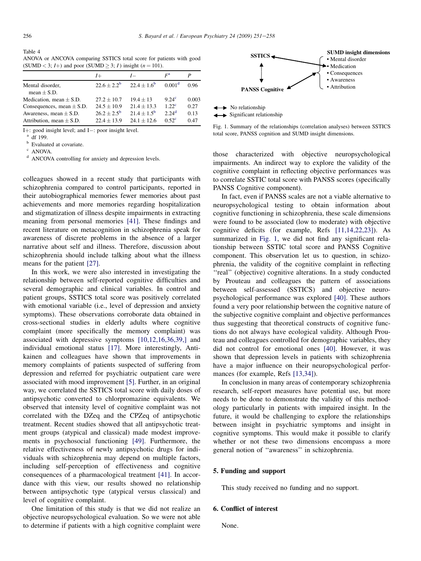<span id="page-5-0"></span>Table 4

ANOVA or ANCOVA comparing SSTICS total score for patients with good (SUMD < 3;  $I+$ ) and poor (SUMD  $\geq$  3;  $I$ ) insight ( $n = 101$ ).

|                                                            | $I+$                                    | $I-$                                | $F^{\rm a}$                              | P            |
|------------------------------------------------------------|-----------------------------------------|-------------------------------------|------------------------------------------|--------------|
| Mental disorder,<br>mean $\pm$ S.D.                        | $22.6 + 2.2^b$                          | $22.4 + 1.6^b$                      | 0.001 <sup>d</sup>                       | 0.96         |
| Medication, mean $\pm$ S.D.                                | $27.2 + 10.7$                           | $19.4 + 13$                         | 9.24 <sup>c</sup>                        | 0.003        |
| Consequences, mean $\pm$ S.D.                              | $24.5 \pm 10.9$                         | $21.4 \pm 13.3$                     | 1.22 <sup>c</sup>                        | 0.27         |
| Awareness, mean $\pm$ S.D.<br>Attribution, mean $\pm$ S.D. | $26.2 + 2.5^{\rm b}$<br>$22.4 \pm 13.9$ | $21.4 + 1.5^{\rm b}$<br>$241 + 126$ | $2.24$ <sup>d</sup><br>0.52 <sup>c</sup> | 0.13<br>0.47 |

I+: good insight level; and I-: poor insight level.<br>
a df 199.<br>
b Evaluated at covariate.<br>
c ANOVA.

<sup>d</sup> ANCOVA controlling for anxiety and depression levels.

colleagues showed in a recent study that participants with schizophrenia compared to control participants, reported in their autobiographical memories fewer memories about past achievements and more memories regarding hospitalization and stigmatization of illness despite impairments in extracting meaning from personal memories [\[41\]](#page-6-0). These findings and recent literature on metacognition in schizophrenia speak for awareness of discrete problems in the absence of a larger narrative about self and illness. Therefore, discussion about schizophrenia should include talking about what the illness means for the patient [\[27\]](#page-6-0).

In this work, we were also interested in investigating the relationship between self-reported cognitive difficulties and several demographic and clinical variables. In control and patient groups, SSTICS total score was positively correlated with emotional variable (i.e., level of depression and anxiety symptoms). These observations corroborate data obtained in cross-sectional studies in elderly adults where cognitive complaint (more specifically the memory complaint) was associated with depressive symptoms [\[10,12,16,36,39,\]](#page-6-0) and individual emotional status [\[17\].](#page-6-0) More interestingly, Antikainen and colleagues have shown that improvements in memory complaints of patients suspected of suffering from depression and referred for psychiatric outpatient care were associated with mood improvement [\[5\]](#page-6-0). Further, in an original way, we correlated the SSTICS total score with daily doses of antipsychotic converted to chlorpromazine equivalents. We observed that intensity level of cognitive complaint was not correlated with the DZeq and the CPZeq of antipsychotic treatment. Recent studies showed that all antipsychotic treatment groups (atypical and classical) made modest improvements in psychosocial functioning [\[49\].](#page-7-0) Furthermore, the relative effectiveness of newly antipsychotic drugs for individuals with schizophrenia may depend on multiple factors, including self-perception of effectiveness and cognitive consequences of a pharmacological treatment [\[41\].](#page-6-0) In accordance with this view, our results showed no relationship between antipsychotic type (atypical versus classical) and level of cognitive complaint.

One limitation of this study is that we did not realize an objective neuropsychological evaluation. So we were not able to determine if patients with a high cognitive complaint were



Fig. 1. Summary of the relationships (correlation analyses) between SSTICS total score, PANSS cognition and SUMD insight dimensions.

those characterized with objective neuropsychological impairments. An indirect way to explore the validity of the cognitive complaint in reflecting objective performances was to correlate SSTIC total score with PANSS scores (specifically PANSS Cognitive component).

In fact, even if PANSS scales are not a viable alternative to neuropsychological testing to obtain information about cognitive functioning in schizophrenia, these scale dimensions were found to be associated (low to moderate) with objective cognitive deficits (for example, Refs [\[11,14,22,23\]](#page-6-0)). As summarized in Fig. 1, we did not find any significant relationship between SSTIC total score and PANSS Cognitive component. This observation let us to question, in schizophrenia, the validity of the cognitive complaint in reflecting ''real'' (objective) cognitive alterations. In a study conducted by Prouteau and colleagues the pattern of associations between self-assessed (SSTICS) and objective neuropsychological performance was explored [\[40\].](#page-6-0) These authors found a very poor relationship between the cognitive nature of the subjective cognitive complaint and objective performances thus suggesting that theoretical constructs of cognitive functions do not always have ecological validity. Although Prouteau and colleagues controlled for demographic variables, they did not control for emotional ones [\[40\].](#page-6-0) However, it was shown that depression levels in patients with schizophrenia have a major influence on their neuropsychological performances (for example, Refs [\[13,34\]\)](#page-6-0).

In conclusion in many areas of contemporary schizophrenia research, self-report measures have potential use, but more needs to be done to demonstrate the validity of this methodology particularly in patients with impaired insight. In the future, it would be challenging to explore the relationships between insight in psychiatric symptoms and insight in cognitive symptoms. This would make it possible to clarify whether or not these two dimensions encompass a more general notion of ''awareness'' in schizophrenia.

## 5. Funding and support

This study received no funding and no support.

## 6. Conflict of interest

None.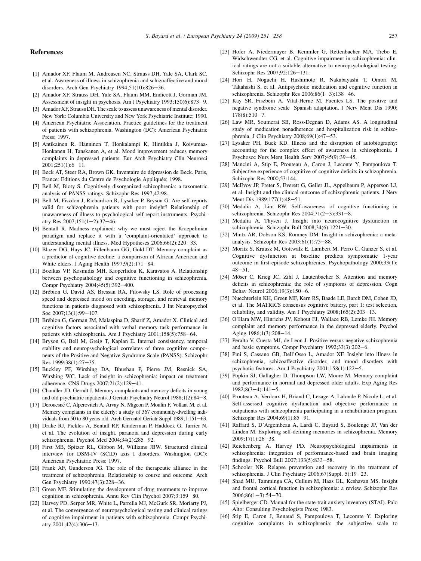# <span id="page-6-0"></span>References

- [1] Amador XF, Flaum M, Andreasen NC, Strauss DH, Yale SA, Clark SC, et al. Awareness of illness in schizophrenia and schizoaffective and mood disorders. Arch Gen Psychiatry  $1994;51(10):826-36$ .
- [2] Amador XF, Strauss DH, Yale SA, Flaum MM, Endicott J, Gorman JM. Assessment of insight in psychosis. Am J Psychiatry 1993;150(6):873-9.
- [3] Amador XF, Strauss DH. The scale to assess unawareness of mental disorder. New York: Columbia University and New York Psychiatric Institute; 1990.
- [4] American Psychiatric Association. Practice guidelines for the treatment of patients with schizophrenia. Washington (DC): American Psychiatric Press; 1997.
- [5] Antikainen R, Hänninen T, Honkalampi K, Hintikka J, Koivumaa-Honkanen H, Tanskanen A, et al. Mood improvement reduces memory complaints in depressed patients. Eur Arch Psychiatry Clin Neurosci  $2001:251(1):6-11.$
- [6] Beck AT, Steer RA, Brown GK. Inventaire de dépression de Beck. Paris, France: Editions du Centre de Psychologie Appliquée; 1998.
- [7] Bell M, Bioty S. Cognitively disorganized schizophrenia: a taxometric analysis of PANSS ratings. Schizophr Res 1997;42:98.
- [8] Bell M, Fiszdon J, Richardson R, Lysaker P, Bryson G. Are self-reports valid for schizophrenia patients with poor insight? Relationship of unawareness of illness to psychological self-report instruments. Psychiatry Res  $2007;151(1-2):37-46$ .
- [9] Bentall R. Madness explained: why we must reject the Kraepelinian paradigm and replace it with a 'complaint-orientated' approach to understanding mental illness. Med Hypotheses 2006;66(2):220-33.
- [10] Blazer DG, Hays JC, Fillenbaum GG, Gold DT. Memory complaint as a predictor of cognitive decline: a comparison of African American and White elders. J Aging Health  $1997;9(2):171-84$ .
- [11] Bozikas VP, Kosmidis MH, Kioperlidou K, Karavatos A. Relationship between psychopathology and cognitive functioning in schizophrenia. Compr Psychiatry 2004;45(5):392-400.
- [12] Brébion G, David AS, Bressan RA, Pilowsky LS. Role of processing speed and depressed mood on encoding, storage, and retrieval memory functions in patients diagnosed with schizophrenia. J Int Neuropsychol Soc 2007:13(1):99-107.
- [13] Brébion G, Gorman JM, Malaspina D, Sharif Z, Amador X. Clinical and cognitive factors associated with verbal memory task performance in patients with schizophrenia. Am J Psychiatry 2001;158(5):758-64.
- [14] Bryson G, Bell M, Greig T, Kaplan E. Internal consistency, temporal stability and neuropsychological correlates of three cognitive components of the Positive and Negative Syndrome Scale (PANSS). Schizophr Res 1999;38(1):27-35.
- [15] Buckley PF, Wirshing DA, Bhushan P, Pierre JM, Resnick SA, Wirshing WC. Lack of insight in schizophrenia: impact on treatment adherence. CNS Drugs 2007;21(2):129-41.
- [16] Chandler JD, Gerndt J. Memory complaints and memory deficits in young and old psychiatric inpatients. J Geriatr Psychiatry Neurol 1988;1(2):84-8.
- [17] Derouesné C, Alperovitch A, Arvay N, Migeon P, Moulin F, Vollant M, et al. Memory complaints in the elderly: a study of 367 community-dwelling individuals from 50 to 80 years old. Arch Gerontol Geriatr Suppl 1989;1:151-63.
- [18] Drake RJ, Pickles A, Bentall RP, Kinderman P, Haddock G, Tarrier N, et al. The evolution of insight, paranoia and depression during early schizophrenia. Psychol Med 2004;34(2):285-92.
- [19] First MB, Spitzer RL, Gibbon M, Williams JBW. Structured clinical interview for DSM-IV (SCID) axis I disorders. Washington (DC): American Psychiatric Press; 1997.
- [20] Frank AF, Gunderson JG. The role of the therapeutic alliance in the treatment of schizophrenia. Relationship to course and outcome. Arch Gen Psychiatry 1990;47(3):228-36.
- [21] Green MF. Stimulating the development of drug treatments to improve cognition in schizophrenia. Annu Rev Clin Psychol 2007;3:159-80.
- [22] Harvey PD, Serper MR, White L, Parrella MJ, McGurk SR, Moriarty PJ, et al. The convergence of neuropsychological testing and clinical ratings of cognitive impairment in patients with schizophrenia. Compr Psychiatry 2001;42(4):306-13.
- [23] Hofer A, Niedermayer B, Kemmler G, Rettenbacher MA, Trebo E, Widschwendter CG, et al. Cognitive impairment in schizophrenia: clinical ratings are not a suitable alternative to neuropsychological testing. Schizophr Res 2007;92:126-131.
- [24] Hori H, Noguchi H, Hashimoto R, Nakabayashi T, Omori M, Takahashi S, et al. Antipsychotic medication and cognitive function in schizophrenia. Schizophr Res  $2006;86(1-3):138-46$ .
- [25] Kay SR, Fiszbein A, Vital-Herne M, Fuentes LS. The positive and negative syndrome scale-Spanish adaptation. J Nerv Ment Dis 1990;  $178(8):510-7.$
- [26] Law MR, Soumerai SB, Ross-Degnan D, Adams AS. A longitudinal study of medication nonadherence and hospitalization risk in schizophrenia. J Clin Psychiatry  $2008;69(1):47-53$ .
- [27] Lysaker PH, Buck KD. Illness and the disruption of autobiography: accounting for the complex effect of awareness in schizophrenia. J Psychosoc Nurs Ment Health Serv  $2007:45(9):39-45$ .
- [28] Mancini A, Stip E, Prouteau A, Caron J, Leconte Y, Pampoulova T. Subjective experience of cognitive of cognitive deficits in schizophrenia. Schizophr Res 2000;53:144.
- [29] McEvoy JP, Freter S, Everett G, Geller JL, Appelbaum P, Apperson LJ, et al. Insight and the clinical outcome of schizophrenic patients. J Nerv Ment Dis 1989;177(1):48-51.
- [30] Medalia A, Lim RW. Self-awareness of cognitive functioning in schizophrenia. Schizophr Res  $2004;71(2-3):331-8$ .
- [31] Medalia A, Thysen J. Insight into neurocognitive dysfunction in schizophrenia. Schizophr Bull  $2008;34(6):1221-30$ .
- [32] Mintz AR, Dobson KS, Romney DM. Insight in schizophrenia: a metaanalysis. Schizophr Res  $2003:61(1):75-88$ .
- [33] Moritz S, Krausz M, Gottwalz E, Lambert M, Perro C, Ganzer S, et al. Cognitive dysfunction at baseline predicts symptomatic 1-year outcome in first-episode schizophrenics. Psychopathology 2000;33(1):  $48 - 51$
- [34] Möser C, Krieg JC, Zihl J, Lautenbacher S. Attention and memory deficits in schizophrenia: the role of symptoms of depression. Cogn Behav Neurol 2006;19(3):150-6.
- [35] Nuechterlein KH, Green MF, Kern RS, Baade LE, Barch DM, Cohen JD, et al. The MATRICS consensus cognitive battery, part 1: test selection, reliability, and validity. Am J Psychiatry  $2008;165(2):203-13$ .
- [36] O'Hara MW, Hinrichs JV, Kohout FJ, Wallace RB, Lemke JH. Memory complaint and memory performance in the depressed elderly. Psychol Aging 1986;1(3):208-14.
- [37] Peralta V, Cuesta MJ, de Leon J. Positive versus negative schizophrenia and basic symptoms. Compr Psychiatry  $1992;33(3):202-6$ .
- [38] Pini S, Cassano GB, Dell'Osso L, Amador XF. Insight into illness in schizophrenia, schizoaffective disorder, and mood disorders with psychotic features. Am J Psychiatry  $2001;158(1):122-5$ .
- [39] Popkin SJ, Gallagher D, Thompson LW, Moore M. Memory complaint and performance in normal and depressed older adults. Exp Aging Res  $1982;8(3-4):141-5.$
- [40] Prouteau A, Verdoux H, Briand C, Lesage A, Lalonde P, Nicole L, et al. Self-assessed cognitive dysfunction and objective performance in outpatients with schizophrenia participating in a rehabilitation program. Schizophr Res 2004;69(1):85-91.
- [41] Raffard S, D'Argembeau A, Lardi C, Bayard S, Boulenge JP, Van der Linden M. Exploring self-defining memories in schizophrenia. Memory  $2009;17(1):26-38.$
- [42] Reichenberg A, Harvey PD. Neuropsychological impairments in schizophrenia: integration of performance-based and brain imaging findings. Psychol Bull  $2007;133(5):833-58$ .
- [43] Schooler NR. Relapse prevention and recovery in the treatment of schizophrenia. J Clin Psychiatry 2006;67(Suppl. 5):19-23.
- [44] Shad MU, Tamminga CA, Cullum M, Haas GL, Keshavan MS. Insight and frontal cortical function in schizophrenia: a review. Schizophr Res  $2006;86(1-3):54-70.$
- [45] Spielberger CD. Manual for the state-trait anxiety inventory (STAI). Palo Alto: Consulting Psychologists Press; 1983.
- [46] Stip E, Caron J, Renaud S, Pampoulova T, Lecomte Y. Exploring cognitive complaints in schizophrenia: the subjective scale to